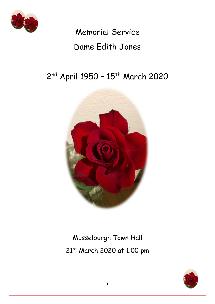

# Memorial Service Dame Edith Jones

## 2<sup>nd</sup> April 1950 - 15<sup>th</sup> March 2020



Musselburgh Town Hall 21st March 2020 at 1.00 pm

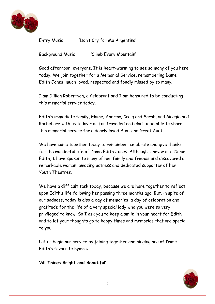

Entry Music 'Don't Cry for Me Argentina'

Background Music 'Climb Every Mountain'

Good afternoon, everyone. It is heart-warming to see so many of you here today. We join together for a Memorial Service, remembering Dame Edith Jones, much loved, respected and fondly missed by so many.

I am Gillian Robertson, a Celebrant and I am honoured to be conducting this memorial service today.

Edith's immediate family, Elaine, Andrew, Craig and Sarah, and Maggie and Rachel are with us today – all far travelled and glad to be able to share this memorial service for a dearly loved Aunt and Great Aunt.

We have come together today to remember, celebrate and give thanks for the wonderful life of Dame Edith Jones. Although I never met Dame Edith, I have spoken to many of her family and friends and discovered a remarkable woman, amazing actress and dedicated supporter of her Youth Theatres.

We have a difficult task today, because we are here together to reflect upon Edith's life following her passing three months ago. But, in spite of our sadness, today is also a day of memories, a day of celebration and gratitude for the life of a very special lady who you were so very privileged to know. So I ask you to keep a smile in your heart for Edith and to let your thoughts go to happy times and memories that are special to you.

Let us begin our service by joining together and singing one of Dame Edith's favourite hymns:

**'All Things Bright and Beautiful'**

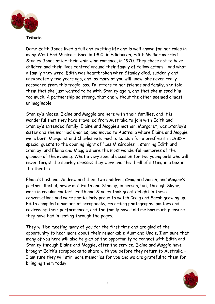

#### **Tribute**

Dame Edith Jones lived a full and exciting life and is well known for her roles in many West End Musicals. Born in 1950, in Edinburgh, Edith Walker married Stanley Jones after their whirlwind romance, in 1970. They chose not to have children and their lives centred around their family of fellow actors – and what a family they were! Edith was heartbroken when Stanley died, suddenly and unexpectedly two years ago, and, as many of you will know, she never really recovered from this tragic loss. In letters to her friends and family, she told them that she just wanted to be with Stanley again, and that she missed him too much. A partnership so strong, that one without the other seemed almost unimaginable.

Stanley's nieces, Elaine and Maggie are here with their families, and it is wonderful that they have travelled from Australia to join with Edith and Stanley's extended family. Elaine and Maggie's mother, Margaret, was Stanley's sister and she married Charles, and moved to Australia where Elaine and Maggie were born. Margaret and Charles returned to London for a brief visit in 1985 – special guests to the opening night of ''Les Misérables'.', starring Edith and Stanley, and Elaine and Maggie share the most wonderful memories of the glamour of the evening. What a very special occasion for two young girls who will never forget the sparkly dresses they wore and the thrill of sitting in a box in the theatre.

Elaine's husband, Andrew and their two children, Craig and Sarah, and Maggie's partner, Rachel, never met Edith and Stanley, in person, but, through Skype, were in regular contact. Edith and Stanley took great delight in these conversations and were particularly proud to watch Craig and Sarah growing up. Edith compiled a number of scrapbooks, recording photographs, posters and reviews of their performances, and the family have told me how much pleasure they have had in leafing through the pages.

They will be meeting many of you for the first time and are glad of the opportunity to hear more about their remarkable Aunt and Uncle. I am sure that many of you here will also be glad of the opportunity to connect with Edith and Stanley through Elaine and Maggie, after the service. Elaine and Maggie have brought Edith's scrapbooks to share with you before they return to Australia – I am sure they will stir more memories for you and we are grateful to them for bringing them today.

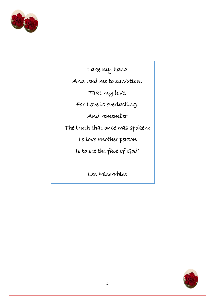

Take my hand

And lead me to salvation.

Take my love,

For Love is everlasting.

And remember

The truth that once was spoken:

To love another person

Is to see the face of God'

Les Miserables

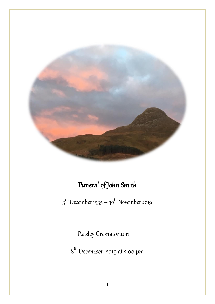

## Funeral of John Smith

 $\rm{3}^{rd}$  December 1935  $-$  30 $^{\rm th}$  November 2019

Paisley Crematorium

 $8^{\mathsf{th}}$  December, 2019 at 2.00 pm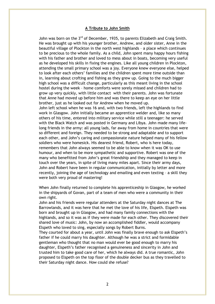#### **A Tribute to John Smith**

John was born on the 3<sup>rd</sup> of December, 1935, to parents Elizabeth and Craig Smith. He was brought up with his younger brother, Andrew, and older sister, Anne in the beautiful village of Plockton in the north west highlands – a place which continues to be precious to the whole family. As a child, John spent many happy hours fishing with his father and brother and loved to mess about in boats, becoming very useful as he developed his skills in fixing the engines. Like all young children in Plockton, attending the small primary school was a joy. Everyone knew everyone else, helped to look after each others' families and the children spent more time outside than in, learning about crofting and fishing as they grew up. Going to the much bigger high school was a difficult change, particularly as this meant living in the school hostel during the week – home comforts were sorely missed and children had to grow up very quickly, with little contact with their parents. John was fortunate that Anne had moved up before him and was there to keep an eye on her little brother, just as he looked out for Andrew when he moved up.

John left school when he was 16 and, with two friends, left the highlands to find work in Glasgow. John initially became an apprentice welder and, like so many others of his time, entered into military service while still a teenager: he served with the Black Watch and was posted in Germany and Libya. John made many lifelong friends in the army: all young lads, far away from home in countries that were so different and foreign. They needed to be strong and adaptable and to support each other, and John's caring and compassionate nature helped many of his fellow soldiers who were homesick. His dearest friend, Robert, who is here today, remembers that John always seemed to be able to know when it was OK to use humour, and when to be more sympathetic and supportive. Robert was one of the many who benefitted from John's great friendship and they managed to keep in touch over the years, in spite of living many miles apart. Since their army days, John and Robert have been in regular communication, initially by letter and more recently, joining the age of technology and emailing and even texting – a skill they were both very proud of mastering!

When John finally returned to complete his apprenticeship in Glasgow, he worked in the shipyards of Govan, part of a team of men who were a community in their own right.

John and his friends were regular attenders at the Saturday night dances at The Barrowlands, and it was here that he met the love of his life, Elspeth. Elspeth was born and brought up in Glasgow, and had many family connections with the highlands, and so it was as if they were made for each other. They discovered their shared love of music: John, by now an accomplished fiddler, would accompany Elspeth who loved to sing, especially songs by Robert Burns.

They courted for about a year, until John was finally brave enough to ask Elspeth's father if he could marry his daughter. Although he was a strict and formidable gentleman who thought that no man would ever be good enough to marry his daughter, Elspeth's father recognised a genuineness and sincerity in John and trusted him to take good care of her, which he always did. A true romantic, John proposed to Elspeth on the top floor of the double decker bus as they travelled to their Saturday night dance. How could she refuse?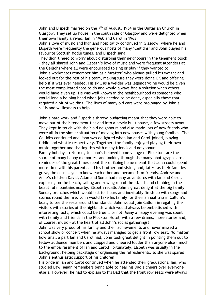John and Elspeth married on the 7<sup>th</sup> of August, 1954 in the Unitarian Church in Glasgow. They set up house in the south side of Glasgow and were delighted when their own family arrived: Ian in 1960 and Carol in 1963.

John's love of music and highland hospitality continued in Glasgow, where he and Elspeth were frequently the generous hosts of many 'Ceilidhs' and John played his favourite Scottish fiddle tunes, and Elspeth sang.

They didn't need to worry about disturbing their neighbours in the tenement block – they all shared John and Elspeth's love of music and were frequent attenders at the Ceilidhs where all were encouraged to sing or play if they wanted to. John's workmates remember him as a 'grafter' who always pulled his weight and looked out for the rest of his team, making sure they were doing OK and offering help if it was ever needed. His skill as a welder was legendary: he would be given the most complicated jobs to do and would always find a solution when others would have given up. He was well known in the neighbourhood as someone who would lend a helping hand when jobs needed to be done, especially those that required a bit of welding. The lives of many old cars were prolonged by John's skills and willingness to help.

John's hard work and Elspeth's shrewd budgeting meant that they were able to move out of their tenement flat and into a newly built house, a few streets away. They kept in touch with their old neighbours and also made lots of new friends who were all in the similar situation of moving into new houses with young families. The Ceilidhs continued and John was delighted when Ian and Carol joined, playing fiddle and whistle respectively. Together, the family enjoyed playing their own music together and sharing this with many friends and neighbours.

Family holidays, returning to John's beloved home village of Plockton, are the source of many happy memories, and looking through the many photographs are a reminder of the great times spent there. Going home meant that John could spend more time with his parents and his brother and sister, and, later, as their families grew, the cousins got to know each other and became firm friends. Andrew and Anne's children David, Allan and Sonia had many adventures with Ian and Carol, exploring on the beach, sailing and rowing round the islands and climbing in the beautiful mountains nearby. Elspeth recalls John's great delight at the big family Sunday brunches which would last for hours and inevitably finish up with songs and stories round the fire. John would take his family for their annual trip in Callum's boat, to see the seals around the islands. John would join Callum in regaling the visitors with stories of the highlands which would always be embellished with interesting facts, which could be true … or not! Many a happy evening was spent with family and friends in the Plockton Hotel, with a few drams, more stories and, of course, music – at the heart of all John's social gatherings!

John was very proud of his family and their achievements and never missed a school show or concert when he always managed to get a front row seat. No matter how small a part Ian and Carol had, John took great delight in pointing them out to fellow audience members and clapped and cheered louder than anyone else – much to the embarrassment of Ian and Carol! Fortunately, Elspeth was usually in the background, helping backstage or organising the refreshments, so she was spared John's enthusiastic support of his children!

His pride in Ian and Carol continued when he attended their graduations. Ian, who studied Law, again remembers being able to hear his Dad's cheers over everyone else's. However, he had to explain to his Dad that the front row seats were always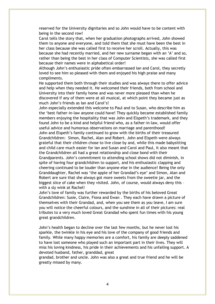reserved for the University dignitaries and so John would have to be content with being in the second row!

Carol tells the story that, when her graduation photographs arrived, John showed them to anyone and everyone, and told them that she must have been the best in her class because she was called first to receive her scroll. Actually, this was because she had recently married, and her new surname began with an 'A' and so,

rather than being the best in her class of Computer Scientists, she was called first because their names were in alphabetical order!

Although John's enthusiastic pride often embarrassed Ian and Carol, they secretly loved to see him so pleased with them and enjoyed his high praise and many compliments.

He supported them both through their studies and was always there to offer advice and help when they needed it. He welcomed their friends, both from school and University into their family home and was never more pleased than when he discovered if any of them were at all musical, at which point they became just as much John's friends as Ian and Carol's!

John especially extended this welcome to Paul and to Susan, who describe him as the 'best father-in-law anyone could have! They quickly became established family members enjoying the hospitality that was John and Elspeth's trademark, and they found John to be a kind and helpful friend who, as a father-in-law, would offer useful advice and humorous observations on marriage and parenthood! John and Elspeth's family continued to grow with the births of their treasured Grandchildren: Simon, Rachel, Alan and Robert. John and Elspeth were always grateful that their children chose to live close by and, while this made babysitting and child care much easier for Ian and Susan and Carol and Paul, it also meant that the Grandchildren all had a great relationship and close bond with their Grandparents. John's commitment to attending school shows did not diminish, in spite of having four grandchildren to support, and his enthusiastic clapping and cheering continued to be louder than anyone else in the audience! Being the only Granddaughter, Rachel was 'the apple of her Grandad's eye' and Simon, Alan and Robert are sure that she always got more sweets from the sweetie jar, and the biggest slice of cake when they visited. John, of course, would always deny this – with a sly wink at Rachel!

John's love of family was further rewarded by the births of his beloved Great Grandchildren: Susie, Claire, Fiona and Ewan . They each have drawn a picture of themselves with their Grandad, and, when you see them as you leave, I am sure you will notice the cheerful colours, and the sunshine in all of their pictures: real tributes to a very much loved Great Grandad who spent fun times with his young great grandchildren.

John's health began to decline over the last few months, but he never lost his sparkle, the twinkle in his eye and his love of the company of good friends and family. While many happy memories are a comfort, his family are deeply saddened to have lost someone who played such an important part in their lives. They will miss his loving kindness, his pride in their achievements and his unfailing support. A devoted husband, father, granddad, great

grandad, brother and uncle. John was also a great and true friend and he will be greatly missed by many.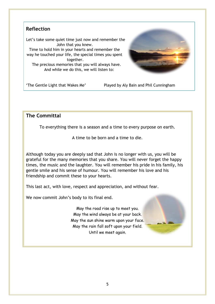### **Reflection** Let's take some quiet time just now and remember the John that you knew. Time to hold him in your hearts and remember the way he touched your life, the special times you spent together. The precious memories that you will always have. And while we do this, we will listen to:

'The Gentle Light that Wakes Me' Played by Aly Bain and Phil Cunningham

## **The Committal**

To everything there is a season and a time to every purpose on earth.

A time to be born and a time to die.

Although today you are deeply sad that John is no longer with us, you will be grateful for the many memories that you share. You will never forget the happy times, the music and the laughter. You will remember his pride in his family, his gentle smile and his sense of humour. You will remember his love and his friendship and commit these to your hearts.

This last act, with love, respect and appreciation, and without fear.

We now commit John's body to its final end.

May the road rise up to meet you. May the wind always be at your back. May the sun shine warm upon your face. May the rain fall soft upon your field. Until we meet again.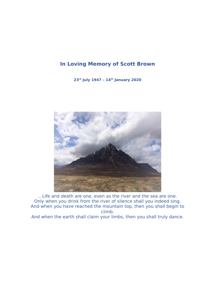## **In Loving Memory of Scott Brown**

**23rd July 1947 – 14th January 2020**



.. Life and death are one, even as the river and the sea are one. Only when you drink from the river of silence shall you indeed sing. And when you have reached the mountain top, then you shall begin to climb.

And when the earth shall claim your limbs, then you shall truly dance.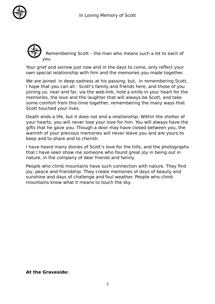

Remembering Scott – the man who means such a lot to each of you.

Your grief and sorrow just now and in the days to come, only reflect your own special relationship with him and the memories you made together.

We are joined in deep sadness at his passing, but, in remembering Scott, I hope that you can all - Scott's family and friends here, and those of you joining us, near and far, via the web-link, hold a smile in your heart for the memories, the love and the laughter that will always be Scott, and take some comfort from this time together, remembering the many ways that Scott touched your lives.

Death ends a life, but it does not end a relationship. Within the shelter of your hearts, you will never lose your love for him. You will always have the gifts that he gave you. Though a door may have closed between you, the warmth of your precious memories will never leave you and are yours to keep and to share and to cherish.

I have heard many stories of Scott's love for the hills, and the photographs that I have seen show me someone who found great joy in being out in nature, in the company of dear friends and family.

People who climb mountains have such connection with nature. They find joy, peace and friendship. They create memories of days of beauty and sunshine and days of challenge and foul weather. People who climb mountains know what it means to touch the sky.

### **At the Graveside:**